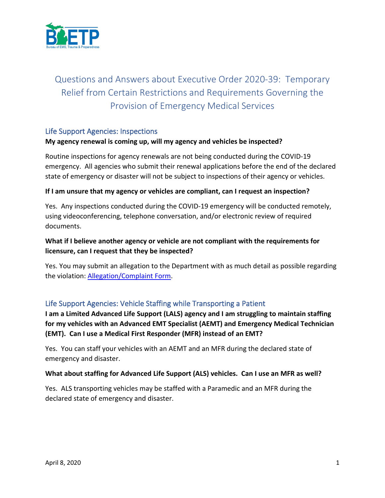

# Questions and Answers about Executive Order 2020-39: Temporary Relief from Certain Restrictions and Requirements Governing the Provision of Emergency Medical Services

### Life Support Agencies: Inspections

### **My agency renewal is coming up, will my agency and vehicles be inspected?**

Routine inspections for agency renewals are not being conducted during the COVID-19 emergency. All agencies who submit their renewal applications before the end of the declared state of emergency or disaster will not be subject to inspections of their agency or vehicles.

#### **If I am unsure that my agency or vehicles are compliant, can I request an inspection?**

Yes. Any inspections conducted during the COVID-19 emergency will be conducted remotely, using videoconferencing, telephone conversation, and/or electronic review of required documents.

# **What if I believe another agency or vehicle are not compliant with the requirements for licensure, can I request that they be inspected?**

Yes. You may submit an allegation to the Department with as much detail as possible regarding the violation: [Allegation/Complaint Form.](https://www.michigan.gov/documents/mdhhs/BHS-EMS_200_FILLABLE_rev_04.2017_507982_7_v3_573300_7.pdf)

### Life Support Agencies: Vehicle Staffing while Transporting a Patient

**I am a Limited Advanced Life Support (LALS) agency and I am struggling to maintain staffing for my vehicles with an Advanced EMT Specialist (AEMT) and Emergency Medical Technician (EMT). Can I use a Medical First Responder (MFR) instead of an EMT?**

Yes. You can staff your vehicles with an AEMT and an MFR during the declared state of emergency and disaster.

#### **What about staffing for Advanced Life Support (ALS) vehicles. Can I use an MFR as well?**

Yes. ALS transporting vehicles may be staffed with a Paramedic and an MFR during the declared state of emergency and disaster.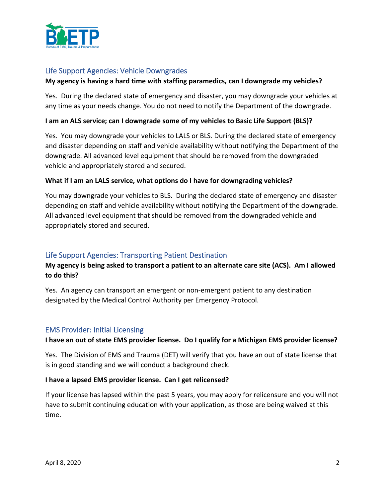

# Life Support Agencies: Vehicle Downgrades

#### **My agency is having a hard time with staffing paramedics, can I downgrade my vehicles?**

Yes. During the declared state of emergency and disaster, you may downgrade your vehicles at any time as your needs change. You do not need to notify the Department of the downgrade.

### **I am an ALS service; can I downgrade some of my vehicles to Basic Life Support (BLS)?**

Yes. You may downgrade your vehicles to LALS or BLS. During the declared state of emergency and disaster depending on staff and vehicle availability without notifying the Department of the downgrade. All advanced level equipment that should be removed from the downgraded vehicle and appropriately stored and secured.

#### **What if I am an LALS service, what options do I have for downgrading vehicles?**

You may downgrade your vehicles to BLS. During the declared state of emergency and disaster depending on staff and vehicle availability without notifying the Department of the downgrade. All advanced level equipment that should be removed from the downgraded vehicle and appropriately stored and secured.

### Life Support Agencies: Transporting Patient Destination

# **My agency is being asked to transport a patient to an alternate care site (ACS). Am I allowed to do this?**

Yes. An agency can transport an emergent or non-emergent patient to any destination designated by the Medical Control Authority per Emergency Protocol.

#### EMS Provider: Initial Licensing

#### **I have an out of state EMS provider license. Do I qualify for a Michigan EMS provider license?**

Yes. The Division of EMS and Trauma (DET) will verify that you have an out of state license that is in good standing and we will conduct a background check.

#### **I have a lapsed EMS provider license. Can I get relicensed?**

If your license has lapsed within the past 5 years, you may apply for relicensure and you will not have to submit continuing education with your application, as those are being waived at this time.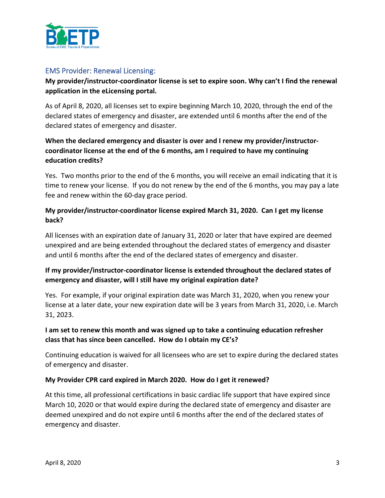

### EMS Provider: Renewal Licensing:

# **My provider/instructor-coordinator license is set to expire soon. Why can't I find the renewal application in the eLicensing portal.**

As of April 8, 2020, all licenses set to expire beginning March 10, 2020, through the end of the declared states of emergency and disaster, are extended until 6 months after the end of the declared states of emergency and disaster.

# **When the declared emergency and disaster is over and I renew my provider/instructorcoordinator license at the end of the 6 months, am I required to have my continuing education credits?**

Yes. Two months prior to the end of the 6 months, you will receive an email indicating that it is time to renew your license. If you do not renew by the end of the 6 months, you may pay a late fee and renew within the 60-day grace period.

# **My provider/instructor-coordinator license expired March 31, 2020. Can I get my license back?**

All licenses with an expiration date of January 31, 2020 or later that have expired are deemed unexpired and are being extended throughout the declared states of emergency and disaster and until 6 months after the end of the declared states of emergency and disaster.

# **If my provider/instructor-coordinator license is extended throughout the declared states of emergency and disaster, will I still have my original expiration date?**

Yes. For example, if your original expiration date was March 31, 2020, when you renew your license at a later date, your new expiration date will be 3 years from March 31, 2020, i.e. March 31, 2023.

# **I am set to renew this month and was signed up to take a continuing education refresher class that has since been cancelled. How do I obtain my CE's?**

Continuing education is waived for all licensees who are set to expire during the declared states of emergency and disaster.

### **My Provider CPR card expired in March 2020. How do I get it renewed?**

At this time, all professional certifications in basic cardiac life support that have expired since March 10, 2020 or that would expire during the declared state of emergency and disaster are deemed unexpired and do not expire until 6 months after the end of the declared states of emergency and disaster.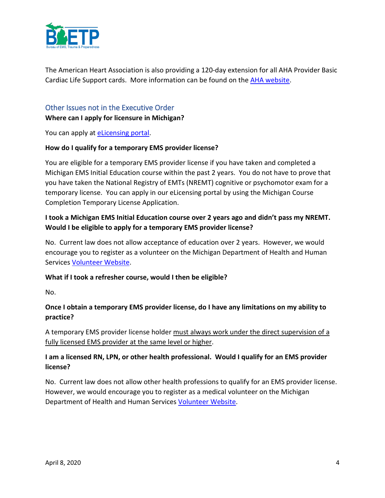

The American Heart Association is also providing a 120-day extension for all AHA Provider Basic Cardiac Life Support cards. More information can be found on the [AHA website.](https://cpr.heart.org/-/media/cpr-files/resources/covid-19-resources-for-cpr-training/covid19-statement_card-extensions_update-33120.pdf)

# Other Issues not in the Executive Order **Where can I apply for licensure in Michigan?**

You can apply at **eLicensing portal**.

### **How do I qualify for a temporary EMS provider license?**

You are eligible for a temporary EMS provider license if you have taken and completed a Michigan EMS Initial Education course within the past 2 years. You do not have to prove that you have taken the National Registry of EMTs (NREMT) cognitive or psychomotor exam for a temporary license. You can apply in our eLicensing portal by using the Michigan Course Completion Temporary License Application.

# **I took a Michigan EMS Initial Education course over 2 years ago and didn't pass my NREMT. Would I be eligible to apply for a temporary EMS provider license?**

No. Current law does not allow acceptance of education over 2 years. However, we would encourage you to register as a volunteer on the Michigan Department of Health and Human Services [Volunteer Website.](https://www.michigan.gov/coronavirus/0,9753,7-406-98178_98811---,00.html)

#### **What if I took a refresher course, would I then be eligible?**

No.

# **Once I obtain a temporary EMS provider license, do I have any limitations on my ability to practice?**

A temporary EMS provider license holder must always work under the direct supervision of a fully licensed EMS provider at the same level or higher.

# **I am a licensed RN, LPN, or other health professional. Would I qualify for an EMS provider license?**

No. Current law does not allow other health professions to qualify for an EMS provider license. However, we would encourage you to register as a medical volunteer on the Michigan Department of Health and Human Services [Volunteer Website.](https://www.michigan.gov/coronavirus/0,9753,7-406-98178_98811---,00.html)